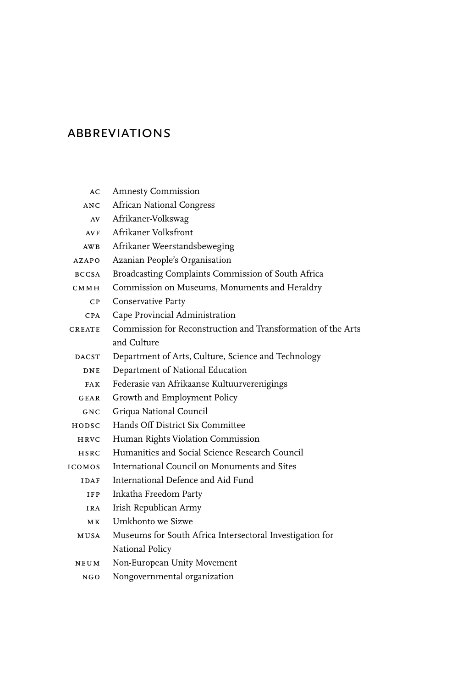## **ABBREVIATIONS**

AC Amnesty Commission ANC African National Congress AV Afrikaner-Volkswag

| AVF           | Afrikaner Volksfront                                         |
|---------------|--------------------------------------------------------------|
| AWB           | Afrikaner Weerstandsbeweging                                 |
| AZAPO         | Azanian People's Organisation                                |
| <b>BCCSA</b>  | Broadcasting Complaints Commission of South Africa           |
| CMMH.         | Commission on Museums, Monuments and Heraldry                |
| CP            | Conservative Party                                           |
| <b>CPA</b>    | Cape Provincial Administration                               |
| CREATE        | Commission for Reconstruction and Transformation of the Arts |
|               | and Culture                                                  |
| <b>DACST</b>  | Department of Arts, Culture, Science and Technology          |
| DNE           | Department of National Education                             |
| <b>FAK</b>    | Federasie van Afrikaanse Kultuurverenigings                  |
| G E AR        | Growth and Employment Policy                                 |
| GNC.          | Griqua National Council                                      |
| HODSC.        | Hands Off District Six Committee                             |
| HRVC          | Human Rights Violation Commission                            |
| HSRC          | Humanities and Social Science Research Council               |
| <b>ICOMOS</b> | International Council on Monuments and Sites                 |
| <b>IDAF</b>   | International Defence and Aid Fund                           |
| <b>IFP</b>    | Inkatha Freedom Party                                        |
| <b>IRA</b>    | Irish Republican Army                                        |
| MК            | Umkhonto we Sizwe                                            |
| <b>MUSA</b>   | Museums for South Africa Intersectoral Investigation for     |
|               | National Policy                                              |
| NEUM          | Non-European Unity Movement                                  |
| NGO           | Nongovernmental organization                                 |
|               |                                                              |